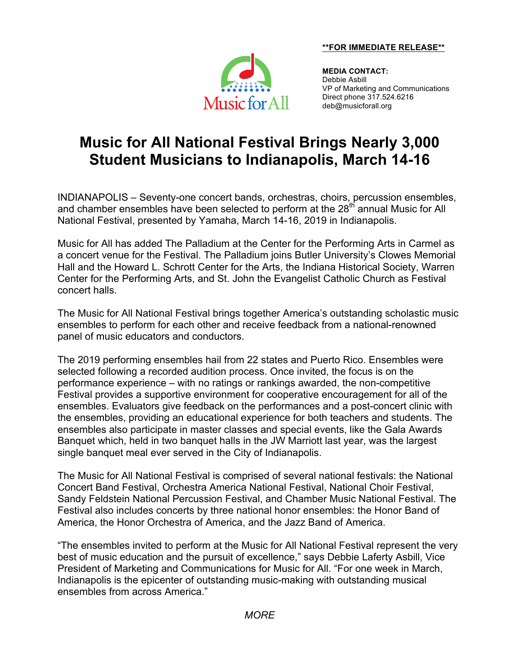**\*\*FOR IMMEDIATE RELEASE\*\***



**MEDIA CONTACT:** Debbie Asbill VP of Marketing and Communications Direct phone 317.524.6216 deb@musicforall.org

# **Music for All National Festival Brings Nearly 3,000 Student Musicians to Indianapolis, March 14-16**

INDIANAPOLIS – Seventy-one concert bands, orchestras, choirs, percussion ensembles, and chamber ensembles have been selected to perform at the 28<sup>th</sup> annual Music for All National Festival, presented by Yamaha, March 14-16, 2019 in Indianapolis.

Music for All has added The Palladium at the Center for the Performing Arts in Carmel as a concert venue for the Festival. The Palladium joins Butler University's Clowes Memorial Hall and the Howard L. Schrott Center for the Arts, the Indiana Historical Society, Warren Center for the Performing Arts, and St. John the Evangelist Catholic Church as Festival concert halls.

The Music for All National Festival brings together America's outstanding scholastic music ensembles to perform for each other and receive feedback from a national-renowned panel of music educators and conductors.

The 2019 performing ensembles hail from 22 states and Puerto Rico. Ensembles were selected following a recorded audition process. Once invited, the focus is on the performance experience – with no ratings or rankings awarded, the non-competitive Festival provides a supportive environment for cooperative encouragement for all of the ensembles. Evaluators give feedback on the performances and a post-concert clinic with the ensembles, providing an educational experience for both teachers and students. The ensembles also participate in master classes and special events, like the Gala Awards Banquet which, held in two banquet halls in the JW Marriott last year, was the largest single banquet meal ever served in the City of Indianapolis.

The Music for All National Festival is comprised of several national festivals: the National Concert Band Festival, Orchestra America National Festival, National Choir Festival, Sandy Feldstein National Percussion Festival, and Chamber Music National Festival. The Festival also includes concerts by three national honor ensembles: the Honor Band of America, the Honor Orchestra of America, and the Jazz Band of America.

"The ensembles invited to perform at the Music for All National Festival represent the very best of music education and the pursuit of excellence," says Debbie Laferty Asbill, Vice President of Marketing and Communications for Music for All. "For one week in March, Indianapolis is the epicenter of outstanding music-making with outstanding musical ensembles from across America."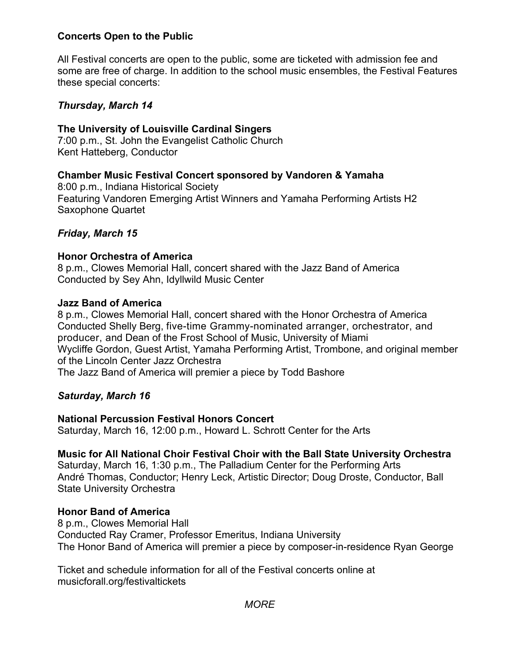# **Concerts Open to the Public**

All Festival concerts are open to the public, some are ticketed with admission fee and some are free of charge. In addition to the school music ensembles, the Festival Features these special concerts:

## *Thursday, March 14*

## **The University of Louisville Cardinal Singers**

7:00 p.m., St. John the Evangelist Catholic Church Kent Hatteberg, Conductor

# **Chamber Music Festival Concert sponsored by Vandoren & Yamaha**

8:00 p.m., Indiana Historical Society Featuring Vandoren Emerging Artist Winners and Yamaha Performing Artists H2 Saxophone Quartet

# *Friday, March 15*

# **Honor Orchestra of America**

8 p.m., Clowes Memorial Hall, concert shared with the Jazz Band of America Conducted by Sey Ahn, Idyllwild Music Center

#### **Jazz Band of America**

8 p.m., Clowes Memorial Hall, concert shared with the Honor Orchestra of America Conducted Shelly Berg, five-time Grammy-nominated arranger, orchestrator, and producer, and Dean of the Frost School of Music, University of Miami Wycliffe Gordon, Guest Artist, Yamaha Performing Artist, Trombone, and original member of the Lincoln Center Jazz Orchestra The Jazz Band of America will premier a piece by Todd Bashore

#### *Saturday, March 16*

#### **National Percussion Festival Honors Concert**

Saturday, March 16, 12:00 p.m., Howard L. Schrott Center for the Arts

#### **Music for All National Choir Festival Choir with the Ball State University Orchestra**

Saturday, March 16, 1:30 p.m., The Palladium Center for the Performing Arts André Thomas, Conductor; Henry Leck, Artistic Director; Doug Droste, Conductor, Ball State University Orchestra

#### **Honor Band of America**

8 p.m., Clowes Memorial Hall Conducted Ray Cramer, Professor Emeritus, Indiana University The Honor Band of America will premier a piece by composer-in-residence Ryan George

Ticket and schedule information for all of the Festival concerts online at musicforall.org/festivaltickets